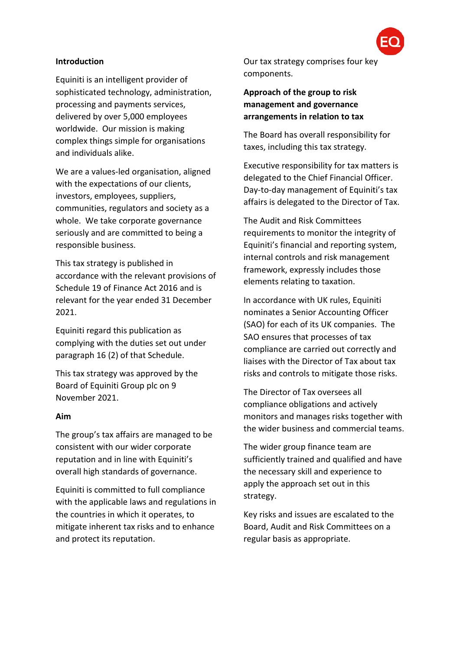### **Introduction**

Equiniti is an intelligent provider of sophisticated technology, administration, processing and payments services, delivered by over 5,000 employees worldwide. Our mission is making complex things simple for organisations and individuals alike.

We are a values-led organisation, aligned with the expectations of our clients. investors, employees, suppliers, communities, regulators and society as a whole. We take corporate governance seriously and are committed to being a responsible business.

This tax strategy is published in accordance with the relevant provisions of Schedule 19 of Finance Act 2016 and is relevant for the year ended 31 December 2021.

Equiniti regard this publication as complying with the duties set out under paragraph 16 (2) of that Schedule.

This tax strategy was approved by the Board of Equiniti Group plc on 9 November 2021.

#### **Aim**

The group's tax affairs are managed to be consistent with our wider corporate reputation and in line with Equiniti's overall high standards of governance.

Equiniti is committed to full compliance with the applicable laws and regulations in the countries in which it operates, to mitigate inherent tax risks and to enhance and protect its reputation.

Our tax strategy comprises four key components.

**Approach of the group to risk management and governance arrangements in relation to tax**

The Board has overall responsibility for taxes, including this tax strategy.

Executive responsibility for tax matters is delegated to the Chief Financial Officer. Day-to-day management of Equiniti's tax affairs is delegated to the Director of Tax.

The Audit and Risk Committees requirements to monitor the integrity of Equiniti's financial and reporting system, internal controls and risk management framework, expressly includes those elements relating to taxation.

In accordance with UK rules, Equiniti nominates a Senior Accounting Officer (SAO) for each of its UK companies. The SAO ensures that processes of tax compliance are carried out correctly and liaises with the Director of Tax about tax risks and controls to mitigate those risks.

The Director of Tax oversees all compliance obligations and actively monitors and manages risks together with the wider business and commercial teams.

The wider group finance team are sufficiently trained and qualified and have the necessary skill and experience to apply the approach set out in this strategy.

Key risks and issues are escalated to the Board, Audit and Risk Committees on a regular basis as appropriate.